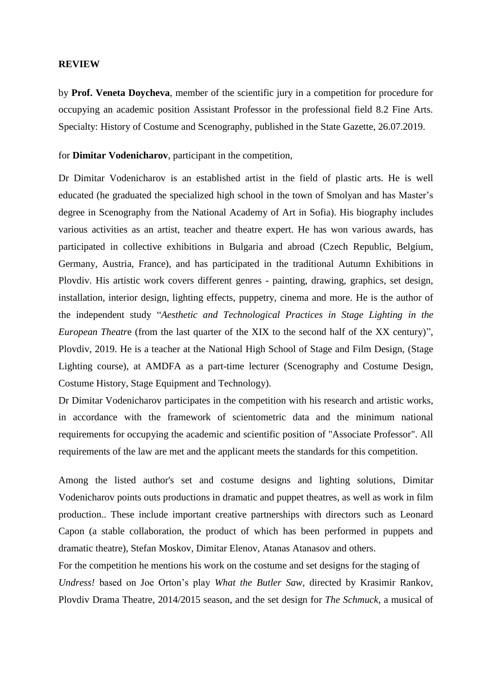## **REVIEW**

by **Prof. Veneta Doycheva**, member of the scientific jury in a competition for procedure for occupying an academic position Assistant Professor in the professional field 8.2 Fine Arts. Specialty: History of Costume and Scenography, published in the State Gazette, 26.07.2019.

for **Dimitar Vodenicharov**, participant in the competition,

Dr Dimitar Vodenicharov is an established artist in the field of plastic arts. He is well educated (he graduated the specialized high school in the town of Smolyan and has Master's degree in Scenography from the National Academy of Art in Sofia). His biography includes various activities as an artist, teacher and theatre expert. He has won various awards, has participated in collective exhibitions in Bulgaria and abroad (Czech Republic, Belgium, Germany, Austria, France), and has participated in the traditional Autumn Exhibitions in Plovdiv. His artistic work covers different genres - painting, drawing, graphics, set design, installation, interior design, lighting effects, puppetry, cinema and more. He is the author of the independent study "*Aesthetic and Technological Practices in Stage Lighting in the European Theatr*e (from the last quarter of the XIX to the second half of the XX century)", Plovdiv, 2019. He is a teacher at the National High School of Stage and Film Design, (Stage Lighting course), at AMDFA as a part-time lecturer (Scenography and Costume Design, Costume History, Stage Equipment and Technology).

Dr Dimitar Vodenicharov participates in the competition with his research and artistic works, in accordance with the framework of scientometric data and the minimum national requirements for occupying the academic and scientific position of "Associate Professor". All requirements of the law are met and the applicant meets the standards for this competition.

Among the listed author's set and costume designs and lighting solutions, Dimitar Vodenicharov points outs productions in dramatic and puppet theatres, as well as work in film production.. These include important creative partnerships with directors such as Leonard Capon (a stable collaboration, the product of which has been performed in puppets and dramatic theatre), Stefan Moskov, Dimitar Elenov, Atanas Atanasov and others.

For the competition he mentions his work on the costume and set designs for the staging of *Undress!* based on Joe Orton's play *What the Butler Saw*, directed by Krasimir Rankov, Plovdiv Drama Theatre, 2014/2015 season, and the set design for *The Schmuck*, a musical of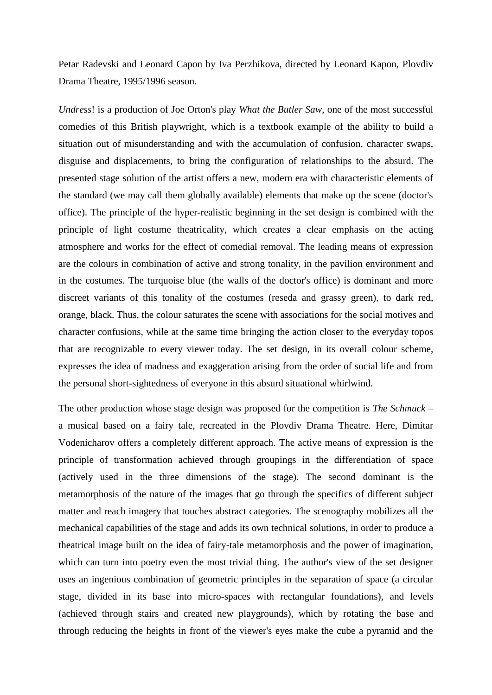Petar Radevski and Leonard Capon by Iva Perzhikova, directed by Leonard Kapon, Plovdiv Drama Theatre, 1995/1996 season.

*Undress*! is a production of Joe Orton's play *What the Butler Saw*, one of the most successful comedies of this British playwright, which is a textbook example of the ability to build a situation out of misunderstanding and with the accumulation of confusion, character swaps, disguise and displacements, to bring the configuration of relationships to the absurd. The presented stage solution of the artist offers a new, modern era with characteristic elements of the standard (we may call them globally available) elements that make up the scene (doctor's office). The principle of the hyper-realistic beginning in the set design is combined with the principle of light costume theatricality, which creates a clear emphasis on the acting atmosphere and works for the effect of comedial removal. The leading means of expression are the colours in combination of active and strong tonality, in the pavilion environment and in the costumes. The turquoise blue (the walls of the doctor's office) is dominant and more discreet variants of this tonality of the costumes (reseda and grassy green), to dark red, orange, black. Thus, the colour saturates the scene with associations for the social motives and character confusions, while at the same time bringing the action closer to the everyday topos that are recognizable to every viewer today. The set design, in its overall colour scheme, expresses the idea of madness and exaggeration arising from the order of social life and from the personal short-sightedness of everyone in this absurd situational whirlwind.

The other production whose stage design was proposed for the competition is *The Schmuck* – a musical based on a fairy tale, recreated in the Plovdiv Drama Theatre. Here, Dimitar Vodenicharov offers a completely different approach. The active means of expression is the principle of transformation achieved through groupings in the differentiation of space (actively used in the three dimensions of the stage). The second dominant is the metamorphosis of the nature of the images that go through the specifics of different subject matter and reach imagery that touches abstract categories. The scenography mobilizes all the mechanical capabilities of the stage and adds its own technical solutions, in order to produce a theatrical image built on the idea of fairy-tale metamorphosis and the power of imagination, which can turn into poetry even the most trivial thing. The author's view of the set designer uses an ingenious combination of geometric principles in the separation of space (a circular stage, divided in its base into micro-spaces with rectangular foundations), and levels (achieved through stairs and created new playgrounds), which by rotating the base and through reducing the heights in front of the viewer's eyes make the cube a pyramid and the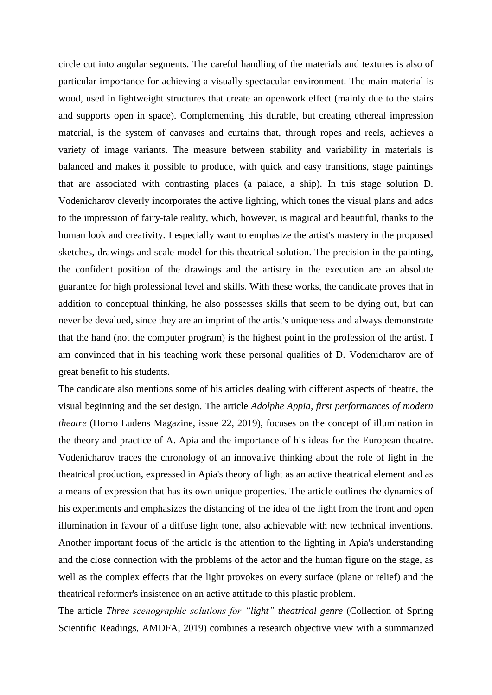circle cut into angular segments. The careful handling of the materials and textures is also of particular importance for achieving a visually spectacular environment. The main material is wood, used in lightweight structures that create an openwork effect (mainly due to the stairs and supports open in space). Complementing this durable, but creating ethereal impression material, is the system of canvases and curtains that, through ropes and reels, achieves a variety of image variants. The measure between stability and variability in materials is balanced and makes it possible to produce, with quick and easy transitions, stage paintings that are associated with contrasting places (a palace, a ship). In this stage solution D. Vodenicharov cleverly incorporates the active lighting, which tones the visual plans and adds to the impression of fairy-tale reality, which, however, is magical and beautiful, thanks to the human look and creativity. I especially want to emphasize the artist's mastery in the proposed sketches, drawings and scale model for this theatrical solution. The precision in the painting, the confident position of the drawings and the artistry in the execution are an absolute guarantee for high professional level and skills. With these works, the candidate proves that in addition to conceptual thinking, he also possesses skills that seem to be dying out, but can never be devalued, since they are an imprint of the artist's uniqueness and always demonstrate that the hand (not the computer program) is the highest point in the profession of the artist. I am convinced that in his teaching work these personal qualities of D. Vodenicharov are of great benefit to his students.

The candidate also mentions some of his articles dealing with different aspects of theatre, the visual beginning and the set design. The article *Adolphe Appia, first performances of modern theatre* (Homo Ludens Magazine, issue 22, 2019), focuses on the concept of illumination in the theory and practice of A. Apia and the importance of his ideas for the European theatre. Vodenicharov traces the chronology of an innovative thinking about the role of light in the theatrical production, expressed in Apia's theory of light as an active theatrical element and as a means of expression that has its own unique properties. The article outlines the dynamics of his experiments and emphasizes the distancing of the idea of the light from the front and open illumination in favour of a diffuse light tone, also achievable with new technical inventions. Another important focus of the article is the attention to the lighting in Apia's understanding and the close connection with the problems of the actor and the human figure on the stage, as well as the complex effects that the light provokes on every surface (plane or relief) and the theatrical reformer's insistence on an active attitude to this plastic problem.

The article *Three scenographic solutions for "light" theatrical genre* (Collection of Spring Scientific Readings, AMDFA, 2019) combines a research objective view with a summarized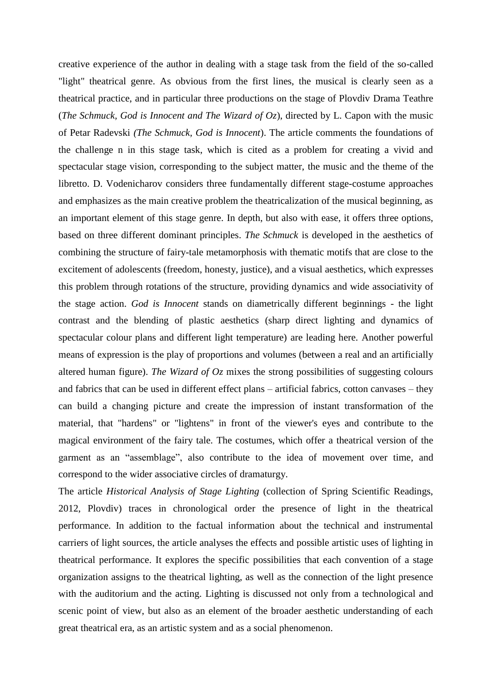creative experience of the author in dealing with a stage task from the field of the so-called "light" theatrical genre. As obvious from the first lines, the musical is clearly seen as a theatrical practice, and in particular three productions on the stage of Plovdiv Drama Teathre (*The Schmuck, God is Innocent and The Wizard of Oz*), directed by L. Capon with the music of Petar Radevski *(The Schmuck, God is Innocent*). The article comments the foundations of the challenge n in this stage task, which is cited as a problem for creating a vivid and spectacular stage vision, corresponding to the subject matter, the music and the theme of the libretto. D. Vodenicharov considers three fundamentally different stage-costume approaches and emphasizes as the main creative problem the theatricalization of the musical beginning, as an important element of this stage genre. In depth, but also with ease, it offers three options, based on three different dominant principles. *The Schmuck* is developed in the aesthetics of combining the structure of fairy-tale metamorphosis with thematic motifs that are close to the excitement of adolescents (freedom, honesty, justice), and a visual aesthetics, which expresses this problem through rotations of the structure, providing dynamics and wide associativity of the stage action. *God is Innocent* stands on diametrically different beginnings - the light contrast and the blending of plastic aesthetics (sharp direct lighting and dynamics of spectacular colour plans and different light temperature) are leading here. Another powerful means of expression is the play of proportions and volumes (between a real and an artificially altered human figure). *The Wizard of Oz* mixes the strong possibilities of suggesting colours and fabrics that can be used in different effect plans – artificial fabrics, cotton canvases – they can build a changing picture and create the impression of instant transformation of the material, that "hardens" or "lightens" in front of the viewer's eyes and contribute to the magical environment of the fairy tale. The costumes, which offer a theatrical version of the garment as an "assemblage", also contribute to the idea of movement over time, and correspond to the wider associative circles of dramaturgy.

The article *Historical Analysis of Stage Lighting* (collection of Spring Scientific Readings, 2012, Plovdiv) traces in chronological order the presence of light in the theatrical performance. In addition to the factual information about the technical and instrumental carriers of light sources, the article analyses the effects and possible artistic uses of lighting in theatrical performance. It explores the specific possibilities that each convention of a stage organization assigns to the theatrical lighting, as well as the connection of the light presence with the auditorium and the acting. Lighting is discussed not only from a technological and scenic point of view, but also as an element of the broader aesthetic understanding of each great theatrical era, as an artistic system and as a social phenomenon.